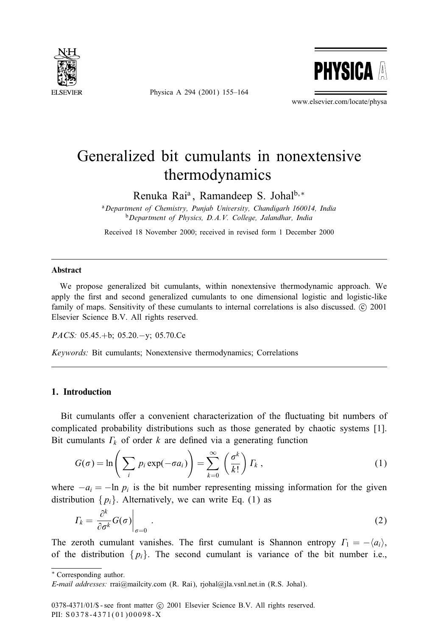

Physica A 294 (2001) 155–164



www.elsevier.com/locate/physa

## Generalized bit cumulants in nonextensive thermodynamics

Renuka Rai<sup>a</sup>, Ramandeep S. Johal<sup>b,\*</sup>

<sup>a</sup>*Department of Chemistry, Punjab University, Chandigarh 160014, India* <sup>b</sup>*Department of Physics, D.A.V. College, Jalandhar, India*

Received 18 November 2000; received in revised form 1 December 2000

#### **Abstract**

We propose generalized bit cumulants, within nonextensive thermodynamic approach. We apply the first and second generalized cumulants to one dimensional logistic and logistic-like family of maps. Sensitivity of these cumulants to internal correlations is also discussed.  $\circ$  2001 Elsevier Science B.V. All rights reserved.

*PACS:* 05.45.+b; 05.20.−y; 05.70.Ce

*Keywords:* Bit cumulants; Nonextensive thermodynamics; Correlations

### **1. Introduction**

Bit cumulants offer a convenient characterization of the fluctuating bit numbers of complicated probability distributions such as those generated by chaotic systems [1]. Bit cumulants  $\Gamma_k$  of order k are defined via a generating function

$$
G(\sigma) = \ln\left(\sum_{i} p_i \exp(-\sigma a_i)\right) = \sum_{k=0}^{\infty} \left(\frac{\sigma^k}{k!}\right) \Gamma_k,
$$
 (1)

where  $-a_i = -\ln p_i$  is the bit number representing missing information for the given distribution  $\{p_i\}$ . Alternatively, we can write Eq. (1) as

$$
\Gamma_k = \left. \frac{\partial^k}{\partial \sigma^k} G(\sigma) \right|_{\sigma=0} . \tag{2}
$$

The zeroth cumulant vanishes. The first cumulant is Shannon entropy  $\Gamma_1 = -\langle a_i \rangle$ , of the distribution  $\{p_i\}$ . The second cumulant is variance of the bit number i.e.,

∗ Corresponding author.

*E-mail addresses:* rrai@mailcity.com (R. Rai), rjohal@jla.vsnl.net.in (R.S. Johal).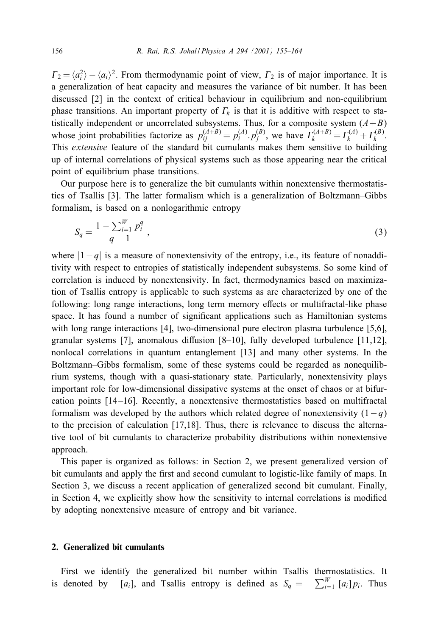$\Gamma_2 = \langle a_i^2 \rangle - \langle a_i \rangle^2$ . From thermodynamic point of view,  $\Gamma_2$  is of major importance. It is a generalization of heat capacity and measures the variance of bit number. It has been discussed [2] in the context of critical behaviour in equilibrium and non-equilibrium phase transitions. An important property of  $\Gamma_k$  is that it is additive with respect to statistically independent or uncorrelated subsystems. Thus, for a composite system  $(A+B)$ whose joint probabilities factorize as  $p_{ij}^{(A+B)} = p_i^{(A)} \cdot p_j^{(B)}$ , we have  $\Gamma_k^{(A+B)} = \Gamma_k^{(A)} + \Gamma_k^{(B)}$ . This *extensive* feature of the standard bit cumulants makes them sensitive to building up of internal correlations of physical systems such as those appearing near the critical point of equilibrium phase transitions.

Our purpose here is to generalize the bit cumulants within nonextensive thermostatistics of Tsallis [3]. The latter formalism which is a generalization of Boltzmann–Gibbs formalism, is based on a nonlogarithmic entropy

$$
S_q = \frac{1 - \sum_{i=1}^{W} p_i^q}{q - 1} \,,\tag{3}
$$

where  $|1-q|$  is a measure of nonextensivity of the entropy, i.e., its feature of nonadditivity with respect to entropies of statistically independent subsystems. So some kind of correlation is induced by nonextensivity. In fact, thermodynamics based on maximization of Tsallis entropy is applicable to such systems as are characterized by one of the following: long range interactions, long term memory effects or multifractal-like phase space. It has found a number of significant applications such as Hamiltonian systems with long range interactions [4], two-dimensional pure electron plasma turbulence [5,6], granular systems [7], anomalous diffusion  $[8–10]$ , fully developed turbulence  $[11,12]$ , nonlocal correlations in quantum entanglement [13] and many other systems. In the Boltzmann–Gibbs formalism, some of these systems could be regarded as nonequilibrium systems, though with a quasi-stationary state. Particularly, nonextensivity plays important role for low-dimensional dissipative systems at the onset of chaos or at bifurcation points [14 –16]. Recently, a nonextensive thermostatistics based on multifractal formalism was developed by the authors which related degree of nonextensivity  $(1-q)$ to the precision of calculation [17,18]. Thus, there is relevance to discuss the alternative tool of bit cumulants to characterize probability distributions within nonextensive approach.

This paper is organized as follows: in Section 2, we present generalized version of bit cumulants and apply the first and second cumulant to logistic-like family of maps. In Section 3, we discuss a recent application of generalized second bit cumulant. Finally, in Section 4, we explicitly show how the sensitivity to internal correlations is modified by adopting nonextensive measure of entropy and bit variance.

### **2. Generalized bit cumulants**

First we identify the generalized bit number within Tsallis thermostatistics. It is denoted by  $-[a_i]$ , and Tsallis entropy is defined as  $S_q = -\sum_{i=1}^W [a_i] p_i$ . Thus